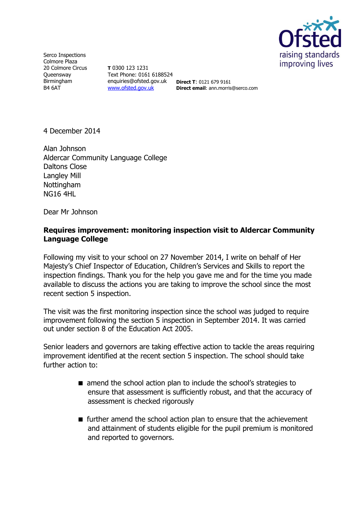

Serco Inspections Colmore Plaza 20 Colmore Circus **Queensway** Birmingham B4 6AT

**T** 0300 123 1231 Text Phone: 0161 6188524 enquiries@ofsted.gov.uk **Direct T**: 0121 679 9161 [www.ofsted.gov.uk](http://www.ofsted.gov.uk/)

**Direct email**: ann.morris@serco.com

4 December 2014

Alan Johnson Aldercar Community Language College Daltons Close Langley Mill Nottingham NG16 4HL

Dear Mr Johnson

## **Requires improvement: monitoring inspection visit to Aldercar Community Language College**

Following my visit to your school on 27 November 2014, I write on behalf of Her Majesty's Chief Inspector of Education, Children's Services and Skills to report the inspection findings. Thank you for the help you gave me and for the time you made available to discuss the actions you are taking to improve the school since the most recent section 5 inspection.

The visit was the first monitoring inspection since the school was judged to require improvement following the section 5 inspection in September 2014. It was carried out under section 8 of the Education Act 2005.

Senior leaders and governors are taking effective action to tackle the areas requiring improvement identified at the recent section 5 inspection. The school should take further action to:

- amend the school action plan to include the school's strategies to ensure that assessment is sufficiently robust, and that the accuracy of assessment is checked rigorously
- $\blacksquare$  further amend the school action plan to ensure that the achievement and attainment of students eligible for the pupil premium is monitored and reported to governors.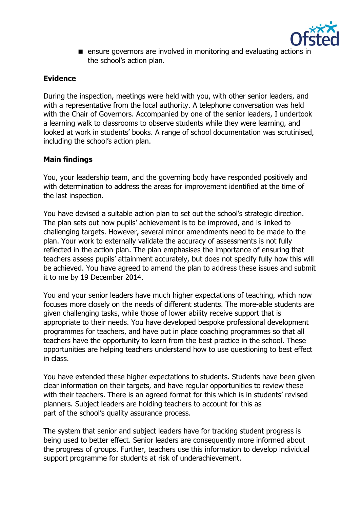

**E** ensure governors are involved in monitoring and evaluating actions in the school's action plan.

# **Evidence**

During the inspection, meetings were held with you, with other senior leaders, and with a representative from the local authority. A telephone conversation was held with the Chair of Governors. Accompanied by one of the senior leaders, I undertook a learning walk to classrooms to observe students while they were learning, and looked at work in students' books. A range of school documentation was scrutinised, including the school's action plan.

# **Main findings**

You, your leadership team, and the governing body have responded positively and with determination to address the areas for improvement identified at the time of the last inspection.

You have devised a suitable action plan to set out the school's strategic direction. The plan sets out how pupils' achievement is to be improved, and is linked to challenging targets. However, several minor amendments need to be made to the plan. Your work to externally validate the accuracy of assessments is not fully reflected in the action plan. The plan emphasises the importance of ensuring that teachers assess pupils' attainment accurately, but does not specify fully how this will be achieved. You have agreed to amend the plan to address these issues and submit it to me by 19 December 2014.

You and your senior leaders have much higher expectations of teaching, which now focuses more closely on the needs of different students. The more-able students are given challenging tasks, while those of lower ability receive support that is appropriate to their needs. You have developed bespoke professional development programmes for teachers, and have put in place coaching programmes so that all teachers have the opportunity to learn from the best practice in the school. These opportunities are helping teachers understand how to use questioning to best effect in class.

You have extended these higher expectations to students. Students have been given clear information on their targets, and have regular opportunities to review these with their teachers. There is an agreed format for this which is in students' revised planners. Subject leaders are holding teachers to account for this as part of the school's quality assurance process.

The system that senior and subject leaders have for tracking student progress is being used to better effect. Senior leaders are consequently more informed about the progress of groups. Further, teachers use this information to develop individual support programme for students at risk of underachievement.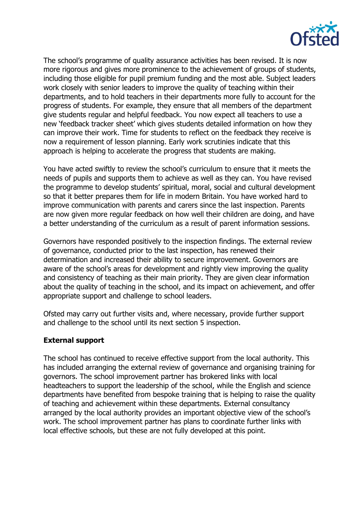

The school's programme of quality assurance activities has been revised. It is now more rigorous and gives more prominence to the achievement of groups of students, including those eligible for pupil premium funding and the most able. Subject leaders work closely with senior leaders to improve the quality of teaching within their departments, and to hold teachers in their departments more fully to account for the progress of students. For example, they ensure that all members of the department give students regular and helpful feedback. You now expect all teachers to use a new 'feedback tracker sheet' which gives students detailed information on how they can improve their work. Time for students to reflect on the feedback they receive is now a requirement of lesson planning. Early work scrutinies indicate that this approach is helping to accelerate the progress that students are making.

You have acted swiftly to review the school's curriculum to ensure that it meets the needs of pupils and supports them to achieve as well as they can. You have revised the programme to develop students' spiritual, moral, social and cultural development so that it better prepares them for life in modern Britain. You have worked hard to improve communication with parents and carers since the last inspection. Parents are now given more regular feedback on how well their children are doing, and have a better understanding of the curriculum as a result of parent information sessions.

Governors have responded positively to the inspection findings. The external review of governance, conducted prior to the last inspection, has renewed their determination and increased their ability to secure improvement. Governors are aware of the school's areas for development and rightly view improving the quality and consistency of teaching as their main priority. They are given clear information about the quality of teaching in the school, and its impact on achievement, and offer appropriate support and challenge to school leaders.

Ofsted may carry out further visits and, where necessary, provide further support and challenge to the school until its next section 5 inspection.

### **External support**

The school has continued to receive effective support from the local authority. This has included arranging the external review of governance and organising training for governors. The school improvement partner has brokered links with local headteachers to support the leadership of the school, while the English and science departments have benefited from bespoke training that is helping to raise the quality of teaching and achievement within these departments. External consultancy arranged by the local authority provides an important objective view of the school's work. The school improvement partner has plans to coordinate further links with local effective schools, but these are not fully developed at this point.